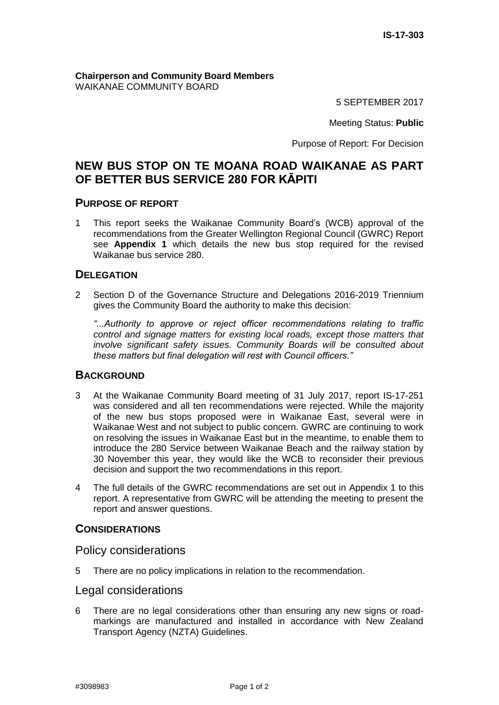**Chairperson and Community Board Members** WAIKANAE COMMUNITY BOARD

5 SEPTEMBER 2017

Meeting Status: **Public**

Purpose of Report: For Decision

# **NEW BUS STOP ON TE MOANA ROAD WAIKANAE AS PART OF BETTER BUS SERVICE 280 FOR KĀPITI**

#### **PURPOSE OF REPORT**

1 This report seeks the Waikanae Community Board's (WCB) approval of the recommendations from the Greater Wellington Regional Council (GWRC) Report see **Appendix 1** which details the new bus stop required for the revised Waikanae bus service 280.

## **DELEGATION**

2 Section D of the Governance Structure and Delegations 2016-2019 Triennium gives the Community Board the authority to make this decision:

*"...Authority to approve or reject officer recommendations relating to traffic control and signage matters for existing local roads, except those matters that involve significant safety issues. Community Boards will be consulted about these matters but final delegation will rest with Council officers."*

#### **BACKGROUND**

- 3 At the Waikanae Community Board meeting of 31 July 2017, report IS-17-251 was considered and all ten recommendations were rejected. While the majority of the new bus stops proposed were in Waikanae East, several were in Waikanae West and not subject to public concern. GWRC are continuing to work on resolving the issues in Waikanae East but in the meantime, to enable them to introduce the 280 Service between Waikanae Beach and the railway station by 30 November this year, they would like the WCB to reconsider their previous decision and support the two recommendations in this report.
- 4 The full details of the GWRC recommendations are set out in Appendix 1 to this report. A representative from GWRC will be attending the meeting to present the report and answer questions.

## **CONSIDERATIONS**

Policy considerations

5 There are no policy implications in relation to the recommendation.

## Legal considerations

6 There are no legal considerations other than ensuring any new signs or roadmarkings are manufactured and installed in accordance with New Zealand Transport Agency (NZTA) Guidelines.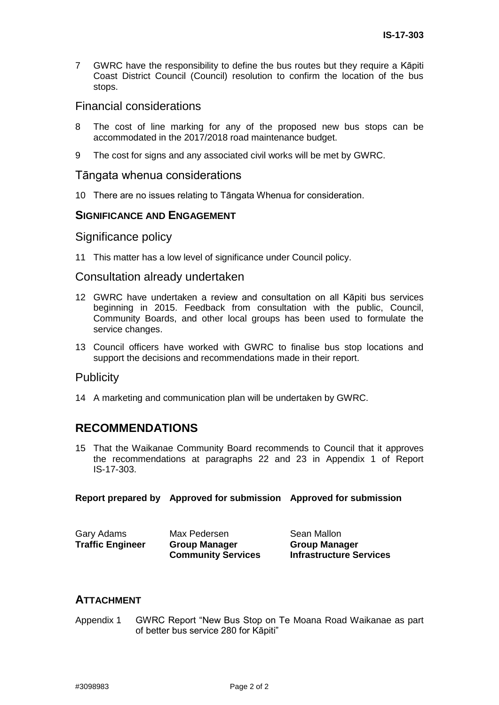7 GWRC have the responsibility to define the bus routes but they require a Kāpiti Coast District Council (Council) resolution to confirm the location of the bus stops.

## Financial considerations

- 8 The cost of line marking for any of the proposed new bus stops can be accommodated in the 2017/2018 road maintenance budget.
- 9 The cost for signs and any associated civil works will be met by GWRC.

#### Tāngata whenua considerations

10 There are no issues relating to Tāngata Whenua for consideration.

## **SIGNIFICANCE AND ENGAGEMENT**

## Significance policy

11 This matter has a low level of significance under Council policy.

#### Consultation already undertaken

- 12 GWRC have undertaken a review and consultation on all Kāpiti bus services beginning in 2015. Feedback from consultation with the public, Council, Community Boards, and other local groups has been used to formulate the service changes.
- 13 Council officers have worked with GWRC to finalise bus stop locations and support the decisions and recommendations made in their report.

## Publicity

14 A marketing and communication plan will be undertaken by GWRC.

# **RECOMMENDATIONS**

15 That the Waikanae Community Board recommends to Council that it approves the recommendations at paragraphs 22 and 23 in Appendix 1 of Report IS-17-303.

**Report prepared by Approved for submission Approved for submission**

| Gary Adams              | Max Pedersen              | Sean Mallon                    |
|-------------------------|---------------------------|--------------------------------|
| <b>Traffic Engineer</b> | <b>Group Manager</b>      | <b>Group Manager</b>           |
|                         | <b>Community Services</b> | <b>Infrastructure Services</b> |

## **ATTACHMENT**

Appendix 1 GWRC Report "New Bus Stop on Te Moana Road Waikanae as part of better bus service 280 for Kāpiti"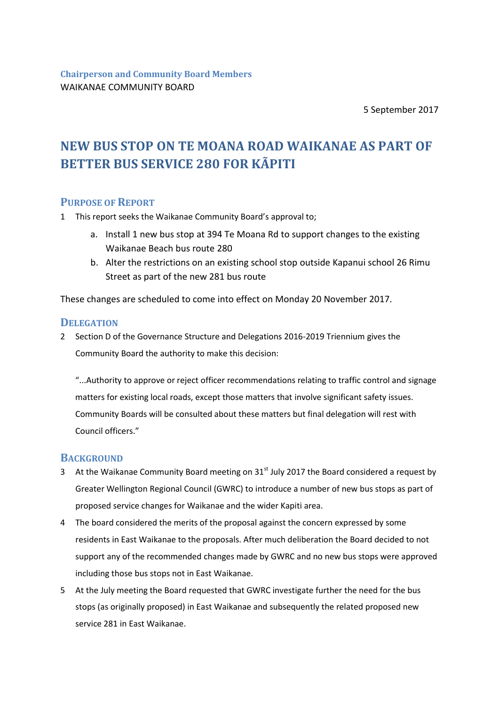5 September 2017

# **NEW BUS STOP ON TE MOANA ROAD WAIKANAE AS PART OF BETTER BUS SERVICE 280 FOR KÃPITI**

## **PURPOSE OF REPORT**

- 1 This report seeks the Waikanae Community Board's approval to;
	- a. Install 1 new bus stop at 394 Te Moana Rd to support changes to the existing Waikanae Beach bus route 280
	- b. Alter the restrictions on an existing school stop outside Kapanui school 26 Rimu Street as part of the new 281 bus route

These changes are scheduled to come into effect on Monday 20 November 2017.

## **DELEGATION**

- 2 Section D of the Governance Structure and Delegations 2016-2019 Triennium gives the Community Board the authority to make this decision:
	- "...Authority to approve or reject officer recommendations relating to traffic control and signage matters for existing local roads, except those matters that involve significant safety issues. Community Boards will be consulted about these matters but final delegation will rest with Council officers."

## **BACKGROUND**

- 3 At the Waikanae Community Board meeting on  $31<sup>st</sup>$  July 2017 the Board considered a request by Greater Wellington Regional Council (GWRC) to introduce a number of new bus stops as part of proposed service changes for Waikanae and the wider Kapiti area.
- 4 The board considered the merits of the proposal against the concern expressed by some residents in East Waikanae to the proposals. After much deliberation the Board decided to not support any of the recommended changes made by GWRC and no new bus stops were approved including those bus stops not in East Waikanae.
- 5 At the July meeting the Board requested that GWRC investigate further the need for the bus stops (as originally proposed) in East Waikanae and subsequently the related proposed new service 281 in East Waikanae.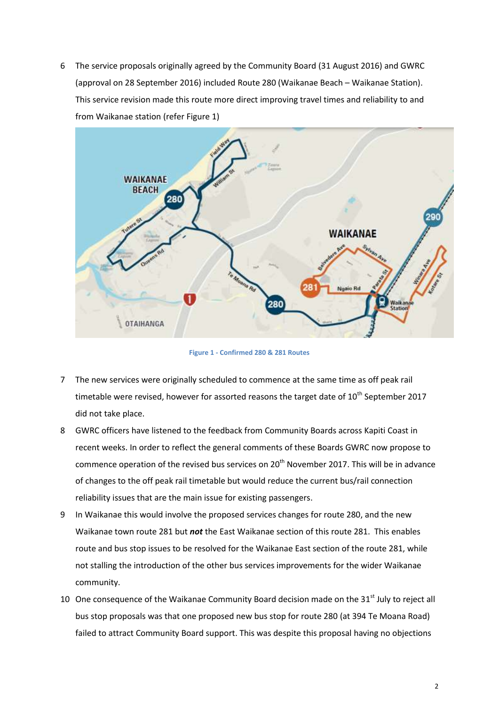6 The service proposals originally agreed by the Community Board (31 August 2016) and GWRC (approval on 28 September 2016) included Route 280 (Waikanae Beach – Waikanae Station). This service revision made this route more direct improving travel times and reliability to and from Waikanae station (refer Figure 1)



**Figure 1 - Confirmed 280 & 281 Routes**

- 7 The new services were originally scheduled to commence at the same time as off peak rail timetable were revised, however for assorted reasons the target date of  $10^{th}$  September 2017 did not take place.
- 8 GWRC officers have listened to the feedback from Community Boards across Kapiti Coast in recent weeks. In order to reflect the general comments of these Boards GWRC now propose to commence operation of the revised bus services on  $20<sup>th</sup>$  November 2017. This will be in advance of changes to the off peak rail timetable but would reduce the current bus/rail connection reliability issues that are the main issue for existing passengers.
- 9 In Waikanae this would involve the proposed services changes for route 280, and the new Waikanae town route 281 but *not* the East Waikanae section of this route 281. This enables route and bus stop issues to be resolved for the Waikanae East section of the route 281, while not stalling the introduction of the other bus services improvements for the wider Waikanae community.
- 10 One consequence of the Waikanae Community Board decision made on the  $31<sup>st</sup>$  July to reject all bus stop proposals was that one proposed new bus stop for route 280 (at 394 Te Moana Road) failed to attract Community Board support. This was despite this proposal having no objections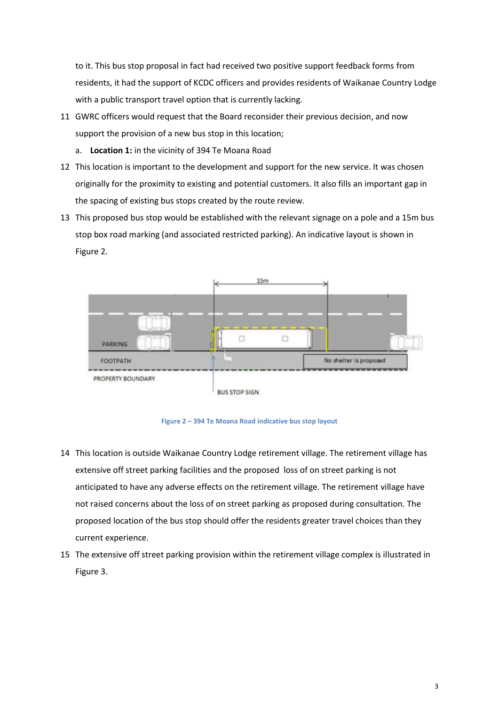to it. This bus stop proposal in fact had received two positive support feedback forms from residents, it had the support of KCDC officers and provides residents of Waikanae Country Lodge with a public transport travel option that is currently lacking.

- 11 GWRC officers would request that the Board reconsider their previous decision, and now support the provision of a new bus stop in this location;
	- a. **Location 1:** in the vicinity of 394 Te Moana Road
- 12 This location is important to the development and support for the new service. It was chosen originally for the proximity to existing and potential customers. It also fills an important gap in the spacing of existing bus stops created by the route review.
- 13 This proposed bus stop would be established with the relevant signage on a pole and a 15m bus stop box road marking (and associated restricted parking). An indicative layout is shown in Figure 2.



**Figure 2 – 394 Te Moana Road indicative bus stop layout**

- 14 This location is outside Waikanae Country Lodge retirement village. The retirement village has extensive off street parking facilities and the proposed loss of on street parking is not anticipated to have any adverse effects on the retirement village. The retirement village have not raised concerns about the loss of on street parking as proposed during consultation. The proposed location of the bus stop should offer the residents greater travel choices than they current experience.
- 15 The extensive off street parking provision within the retirement village complex is illustrated in Figure 3.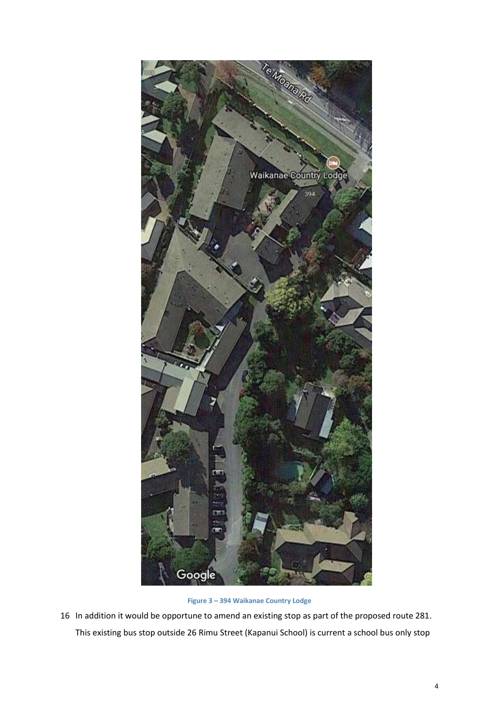

**Figure 3 – 394 Waikanae Country Lodge**

16 In addition it would be opportune to amend an existing stop as part of the proposed route 281. This existing bus stop outside 26 Rimu Street (Kapanui School) is current a school bus only stop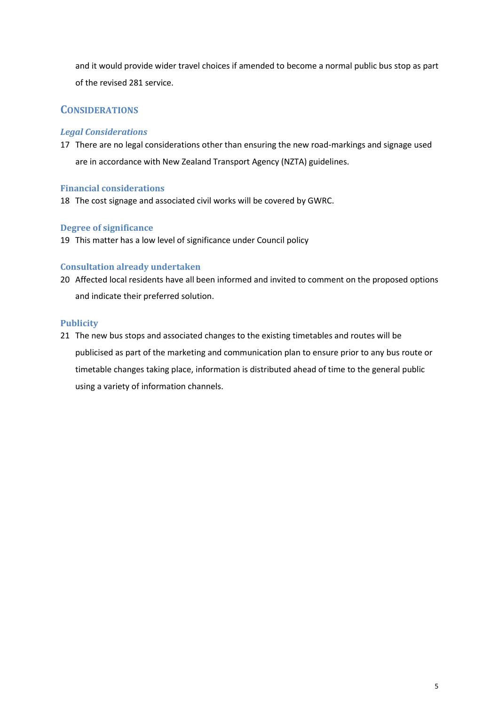and it would provide wider travel choices if amended to become a normal public bus stop as part of the revised 281 service.

## **CONSIDERATIONS**

#### *Legal Considerations*

17 There are no legal considerations other than ensuring the new road-markings and signage used are in accordance with New Zealand Transport Agency (NZTA) guidelines.

#### **Financial considerations**

18 The cost signage and associated civil works will be covered by GWRC.

## **Degree of significance**

19 This matter has a low level of significance under Council policy

#### **Consultation already undertaken**

20 Affected local residents have all been informed and invited to comment on the proposed options and indicate their preferred solution.

#### **Publicity**

21 The new bus stops and associated changes to the existing timetables and routes will be publicised as part of the marketing and communication plan to ensure prior to any bus route or timetable changes taking place, information is distributed ahead of time to the general public using a variety of information channels.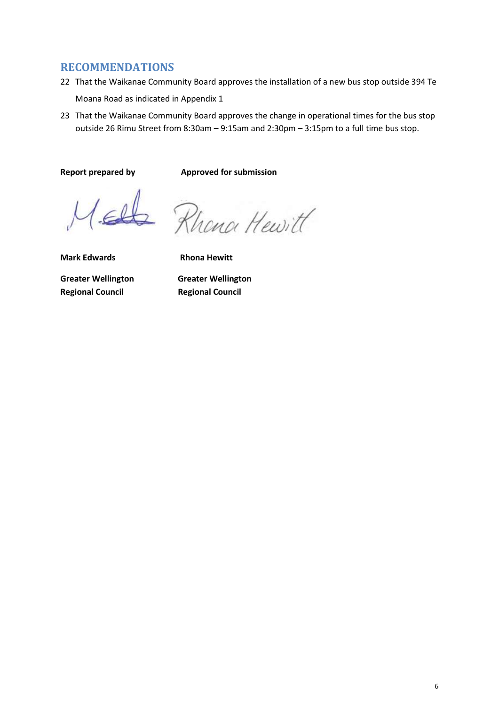## **RECOMMENDATIONS**

- 22 That the Waikanae Community Board approves the installation of a new bus stop outside 394 Te Moana Road as indicated in Appendix 1
- 23 That the Waikanae Community Board approves the change in operational times for the bus stop outside 26 Rimu Street from 8:30am – 9:15am and 2:30pm – 3:15pm to a full time bus stop.

**Report prepared by Approved for submission**

2 Rhena Hewitt

**Mark Edwards Rhona Hewitt** 

**Greater Wellington Greater Wellington Regional Council Regional Council**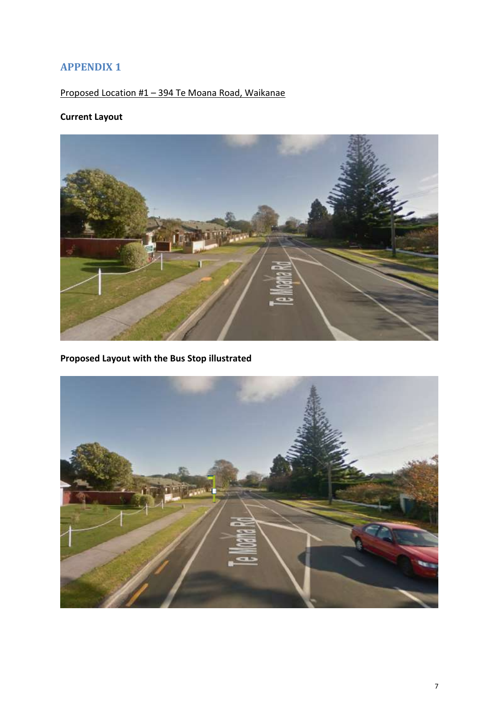# **APPENDIX 1**

Proposed Location #1 – 394 Te Moana Road, Waikanae

# **Current Layout**



**Proposed Layout with the Bus Stop illustrated**